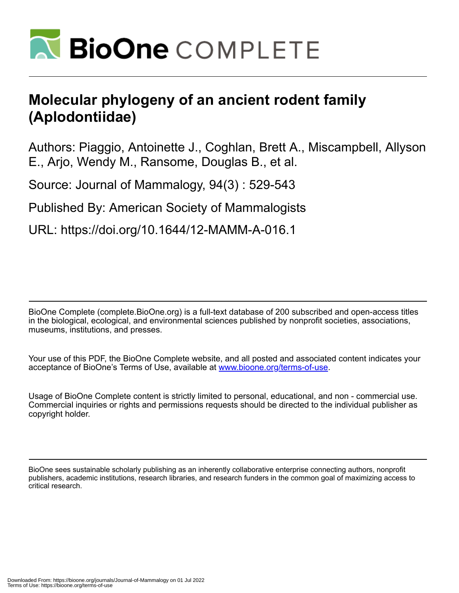

# **Molecular phylogeny of an ancient rodent family (Aplodontiidae)**

Authors: Piaggio, Antoinette J., Coghlan, Brett A., Miscampbell, Allyson E., Arjo, Wendy M., Ransome, Douglas B., et al.

Source: Journal of Mammalogy, 94(3) : 529-543

Published By: American Society of Mammalogists

URL: https://doi.org/10.1644/12-MAMM-A-016.1

BioOne Complete (complete.BioOne.org) is a full-text database of 200 subscribed and open-access titles in the biological, ecological, and environmental sciences published by nonprofit societies, associations, museums, institutions, and presses.

Your use of this PDF, the BioOne Complete website, and all posted and associated content indicates your acceptance of BioOne's Terms of Use, available at www.bioone.org/terms-of-use.

Usage of BioOne Complete content is strictly limited to personal, educational, and non - commercial use. Commercial inquiries or rights and permissions requests should be directed to the individual publisher as copyright holder.

BioOne sees sustainable scholarly publishing as an inherently collaborative enterprise connecting authors, nonprofit publishers, academic institutions, research libraries, and research funders in the common goal of maximizing access to critical research.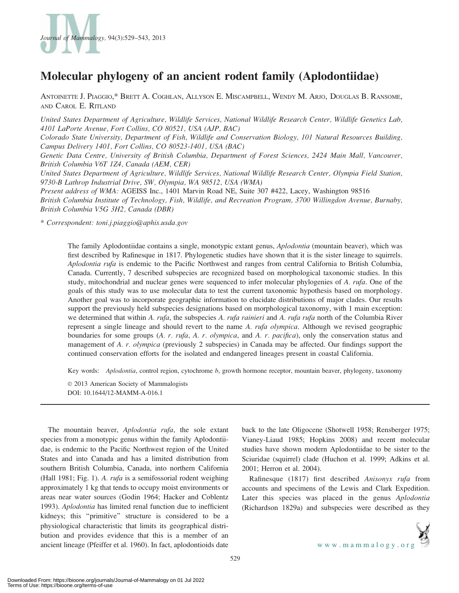

## Molecular phylogeny of an ancient rodent family (Aplodontiidae)

ANTOINETTE J. PIAGGIO,\* BRETT A. COGHLAN, ALLYSON E. MISCAMPBELL, WENDY M. ARJO, DOUGLAS B. RANSOME, AND CAROL E. RITLAND

United States Department of Agriculture, Wildlife Services, National Wildlife Research Center, Wildlife Genetics Lab, 4101 LaPorte Avenue, Fort Collins, CO 80521, USA (AJP, BAC)

Colorado State University, Department of Fish, Wildlife and Conservation Biology, 101 Natural Resources Building, Campus Delivery 1401, Fort Collins, CO 80523-1401, USA (BAC)

Genetic Data Centre, University of British Columbia, Department of Forest Sciences, 2424 Main Mall, Vancouver, British Columbia V6T 1Z4, Canada (AEM, CER)

United States Department of Agriculture, Wildlife Services, National Wildlife Research Center, Olympia Field Station, 9730-B Lathrop Industrial Drive, SW, Olympia, WA 98512, USA (WMA)

Present address of WMA: AGEISS Inc., 1401 Marvin Road NE, Suite 307 #422, Lacey, Washington 98516 British Columbia Institute of Technology, Fish, Wildlife, and Recreation Program, 3700 Willingdon Avenue, Burnaby, British Columbia V5G 3H2, Canada (DBR)

\* Correspondent: toni.j.piaggio@aphis.usda.gov

The family Aplodontiidae contains a single, monotypic extant genus, *Aplodontia* (mountain beaver), which was first described by Rafinesque in 1817. Phylogenetic studies have shown that it is the sister lineage to squirrels. Aplodontia rufa is endemic to the Pacific Northwest and ranges from central California to British Columbia, Canada. Currently, 7 described subspecies are recognized based on morphological taxonomic studies. In this study, mitochondrial and nuclear genes were sequenced to infer molecular phylogenies of A. rufa. One of the goals of this study was to use molecular data to test the current taxonomic hypothesis based on morphology. Another goal was to incorporate geographic information to elucidate distributions of major clades. Our results support the previously held subspecies designations based on morphological taxonomy, with 1 main exception: we determined that within A. rufa, the subspecies A. rufa rainieri and A. rufa rufa north of the Columbia River represent a single lineage and should revert to the name A. rufa olympica. Although we revised geographic boundaries for some groups (A. r. rufa, A. r. olympica, and A. r. pacifica), only the conservation status and management of A. r. olympica (previously 2 subspecies) in Canada may be affected. Our findings support the continued conservation efforts for the isolated and endangered lineages present in coastal California.

Key words: Aplodontia, control region, cytochrome b, growth hormone receptor, mountain beaver, phylogeny, taxonomy

 $© 2013$  American Society of Mammalogists DOI: 10.1644/12-MAMM-A-016.1

The mountain beaver, *Aplodontia rufa*, the sole extant species from a monotypic genus within the family Aplodontiidae, is endemic to the Pacific Northwest region of the United States and into Canada and has a limited distribution from southern British Columbia, Canada, into northern California (Hall 1981; Fig. 1). A. rufa is a semifossorial rodent weighing approximately 1 kg that tends to occupy moist environments or areas near water sources (Godin 1964; Hacker and Coblentz 1993). Aplodontia has limited renal function due to inefficient kidneys; this ''primitive'' structure is considered to be a physiological characteristic that limits its geographical distribution and provides evidence that this is a member of an ancient lineage (Pfeiffer et al. 1960). In fact, aplodontioids date

back to the late Oligocene (Shotwell 1958; Rensberger 1975; Vianey-Liaud 1985; Hopkins 2008) and recent molecular studies have shown modern Aplodontiidae to be sister to the Sciuridae (squirrel) clade (Huchon et al. 1999; Adkins et al. 2001; Herron et al. 2004).

Rafinesque (1817) first described Anisonyx rufa from accounts and specimens of the Lewis and Clark Expedition. Later this species was placed in the genus Aplodontia (Richardson 1829a) and subspecies were described as they

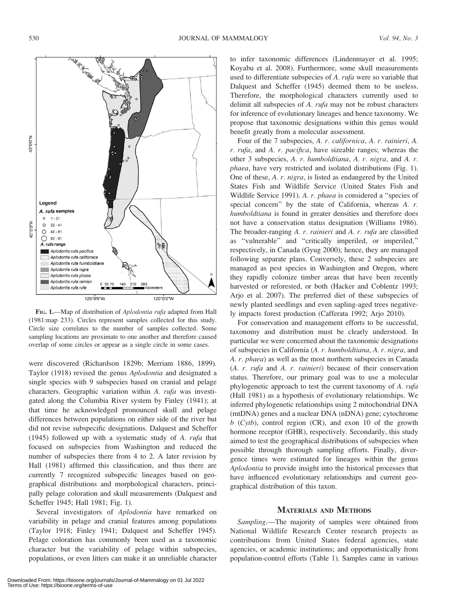

FIG. 1.—Map of distribution of Aplodontia rufa adapted from Hall (1981:map 233). Circles represent samples collected for this study. Circle size correlates to the number of samples collected. Some sampling locations are proximate to one another and therefore caused overlap of some circles or appear as a single circle in some cases.

were discovered (Richardson 1829b; Merriam 1886, 1899). Taylor (1918) revised the genus Aplodontia and designated a single species with 9 subspecies based on cranial and pelage characters. Geographic variation within A. rufa was investigated along the Columbia River system by Finley (1941); at that time he acknowledged pronounced skull and pelage differences between populations on either side of the river but did not revise subspecific designations. Dalquest and Scheffer (1945) followed up with a systematic study of A. rufa that focused on subspecies from Washington and reduced the number of subspecies there from 4 to 2. A later revision by Hall (1981) affirmed this classification, and thus there are currently 7 recognized subspecific lineages based on geographical distributions and morphological characters, principally pelage coloration and skull measurements (Dalquest and Scheffer 1945; Hall 1981; Fig. 1).

Several investigators of Aplodontia have remarked on variability in pelage and cranial features among populations (Taylor 1918; Finley 1941; Dalquest and Scheffer 1945). Pelage coloration has commonly been used as a taxonomic character but the variability of pelage within subspecies, populations, or even litters can make it an unreliable character

to infer taxonomic differences (Lindenmayer et al. 1995; Koyabu et al. 2008). Furthermore, some skull measurements used to differentiate subspecies of A. rufa were so variable that Dalquest and Scheffer (1945) deemed them to be useless. Therefore, the morphological characters currently used to delimit all subspecies of A. rufa may not be robust characters for inference of evolutionary lineages and hence taxonomy. We propose that taxonomic designations within this genus would benefit greatly from a molecular assessment.

Four of the 7 subspecies, A. r. californica, A. r. rainieri, A. r. rufa, and A. r. pacifica, have sizeable ranges; whereas the other 3 subspecies, A. r. humboldtiana, A. r. nigra, and A. r. phaea, have very restricted and isolated distributions (Fig. 1). One of these, A. r. nigra, is listed as endangered by the United States Fish and Wildlife Service (United States Fish and Wildlife Service 1991). A. r. phaea is considered a ''species of special concern'' by the state of California, whereas A. r. humboldtiana is found in greater densities and therefore does not have a conservation status designation (Williams 1986). The broader-ranging A. r. rainieri and A. r. rufa are classified as ''vulnerable'' and ''critically imperiled, or imperiled,'' respectively, in Canada (Gyug 2000); hence, they are managed following separate plans. Conversely, these 2 subspecies are managed as pest species in Washington and Oregon, where they rapidly colonize timber areas that have been recently harvested or reforested, or both (Hacker and Coblentz 1993; Arjo et al. 2007). The preferred diet of these subspecies of newly planted seedlings and even sapling-aged trees negatively impacts forest production (Cafferata 1992; Arjo 2010).

For conservation and management efforts to be successful, taxonomy and distribution must be clearly understood. In particular we were concerned about the taxonomic designations of subspecies in California (A. r. humboldtiana, A. r. nigra, and A. r. phaea) as well as the most northern subspecies in Canada (A. r. rufa and A. r. rainieri) because of their conservation status. Therefore, our primary goal was to use a molecular phylogenetic approach to test the current taxonomy of A. rufa (Hall 1981) as a hypothesis of evolutionary relationships. We inferred phylogenetic relationships using 2 mitochondrial DNA (mtDNA) genes and a nuclear DNA (nDNA) gene; cytochrome  $b$  (Cytb), control region (CR), and exon 10 of the growth hormone receptor (GHR), respectively. Secondarily, this study aimed to test the geographical distributions of subspecies when possible through thorough sampling efforts. Finally, divergence times were estimated for lineages within the genus Aplodontia to provide insight into the historical processes that have influenced evolutionary relationships and current geographical distribution of this taxon.

#### MATERIALS AND METHODS

Sampling.—The majority of samples were obtained from National Wildlife Research Center research projects as contributions from United States federal agencies, state agencies, or academic institutions; and opportunistically from population-control efforts (Table 1). Samples came in various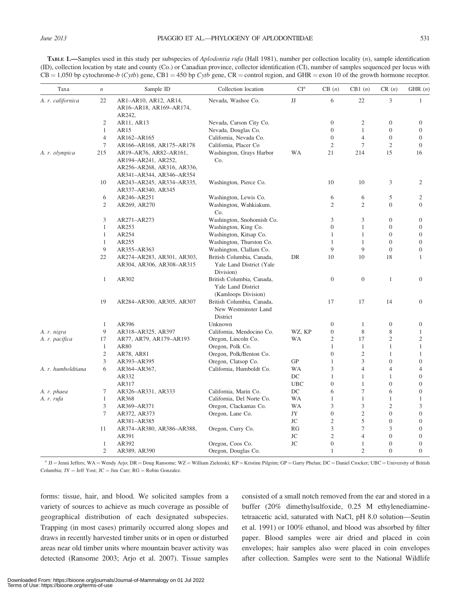TABLE 1.—Samples used in this study per subspecies of *Aplodontia rufa* (Hall 1981), number per collection locality  $(n)$ , sample identification (ID), collection location by state and county (Co.) or Canadian province, collector identification (CI), number of samples sequenced per locus with  $CB = 1,050$  bp cytochrome-b (Cytb) gene, CB1 = 450 bp Cytb gene, CR = control region, and GHR = exon 10 of the growth hormone receptor.

| Taxa               | $\,$           | Sample ID                                                                   | Collection location                                                    | CI <sup>a</sup> | CB(n)            | CB1(n)           | CR(n)            | GHR $(n)$        |
|--------------------|----------------|-----------------------------------------------------------------------------|------------------------------------------------------------------------|-----------------|------------------|------------------|------------------|------------------|
| A. r. californica  | 22             | AR1-AR10, AR12, AR14,<br>AR16–AR18, AR169–AR174,<br>AR242,                  | Nevada, Washoe Co.                                                     | JJ              | 6                | 22               | 3                | $\mathbf{1}$     |
|                    | 2              | AR11, AR13                                                                  | Nevada, Carson City Co.                                                |                 | $\boldsymbol{0}$ | $\overline{2}$   | $\overline{0}$   | $\boldsymbol{0}$ |
|                    | $\mathbf{1}$   | AR15                                                                        | Nevada, Douglas Co.                                                    |                 | $\overline{0}$   | $\mathbf{1}$     | $\overline{0}$   | $\theta$         |
|                    | $\overline{4}$ | AR162-AR165                                                                 | California, Nevada Co.                                                 |                 | $\overline{0}$   | $\overline{4}$   | $\mathbf{0}$     | $\boldsymbol{0}$ |
|                    | 7              | AR166-AR168, AR175-AR178                                                    | California, Placer Co                                                  |                 | $\overline{2}$   | $\tau$           | $\overline{2}$   | $\theta$         |
| A. r. olympica     | 215            | AR19-AR76, AR82-AR161,<br>AR194-AR241, AR252,<br>AR256-AR268, AR316, AR336, | Washington, Grays Harbor<br>Co.                                        | <b>WA</b>       | 21               | 214              | 15               | 16               |
|                    |                | AR341-AR344, AR346-AR354                                                    |                                                                        |                 |                  |                  |                  |                  |
|                    | 10             | AR243-AR245, AR334-AR335,<br>AR337-AR340, AR345                             | Washington, Pierce Co.                                                 |                 | 10               | 10               | 3                | $\mathfrak{2}$   |
|                    | 6              | AR246-AR251                                                                 | Washington, Lewis Co.                                                  |                 | 6                | 6                | 5                | 2                |
|                    | $\overline{c}$ | AR269, AR270                                                                | Washington, Wahkiakum.<br>Co.                                          |                 | $\mathfrak{2}$   | $\overline{2}$   | $\overline{0}$   | $\overline{0}$   |
|                    | 3              | AR271-AR273                                                                 | Washington, Snohomish Co.                                              |                 | 3                | 3                | $\overline{0}$   | $\overline{0}$   |
|                    | $\mathbf{1}$   | AR253                                                                       | Washington, King Co.                                                   |                 | $\overline{0}$   | 1                | $\overline{0}$   | $\overline{0}$   |
|                    | $\mathbf{1}$   | AR254                                                                       | Washington, Kitsap Co.                                                 |                 | $\mathbf{1}$     | $\mathbf{1}$     | $\overline{0}$   | $\boldsymbol{0}$ |
|                    | $\mathbf{1}$   | AR255                                                                       | Washington, Thurston Co.                                               |                 | 1                | $\mathbf{1}$     | $\mathbf{0}$     | $\boldsymbol{0}$ |
|                    | 9              | AR355-AR363                                                                 | Washington, Clallam Co.                                                |                 | 9                | 9                | $\overline{0}$   | $\theta$         |
|                    | 22             | AR274-AR283, AR301, AR303,<br>AR304, AR306, AR308-AR315                     | British Columbia, Canada,<br>Yale Land District (Yale<br>Division)     | DR              | 10               | 10               | 18               | 1                |
|                    | $\mathbf{1}$   | AR302                                                                       | British Columbia, Canada,<br>Yale Land District<br>(Kamloops Division) |                 | $\overline{0}$   | $\boldsymbol{0}$ | $\mathbf{1}$     | $\mathbf{0}$     |
|                    | 19             | AR284-AR300, AR305, AR307                                                   | British Columbia, Canada,<br>New Westminster Land<br>District          |                 | 17               | 17               | 14               | $\mathbf{0}$     |
|                    | $\mathbf{1}$   | AR396                                                                       | Unknown                                                                |                 | $\mathbf{0}$     | $\mathbf{1}$     | $\mathbf{0}$     | $\mathbf{0}$     |
| A. r. nigra        | 9              | AR318-AR325, AR397                                                          | California, Mendocino Co.                                              | WZ, KP          | $\mathbf{0}$     | 8                | 8                | $\mathbf{1}$     |
| A. r. pacifica     | 17             | AR77, AR79, AR179-AR193                                                     | Oregon, Lincoln Co.                                                    | WA              | $\mathfrak{2}$   | 17               | $\overline{c}$   | $\overline{c}$   |
|                    | $\mathbf{1}$   | AR80                                                                        | Oregon, Polk Co.                                                       |                 | $\mathbf{1}$     | $\mathbf{1}$     | $\mathbf{1}$     | $\mathbf{1}$     |
|                    | $\mathfrak{2}$ | AR78, AR81                                                                  | Oregon, Polk/Benton Co.                                                |                 | $\overline{0}$   | $\overline{2}$   | $\mathbf{1}$     | $\mathbf{1}$     |
|                    | 3              | AR393-AR395                                                                 | Oregon, Clatsop Co.                                                    | <b>GP</b>       | $\mathbf{1}$     | 3                | $\overline{0}$   | $\boldsymbol{0}$ |
| A. r. humboldtiana | 6              | AR364-AR367,                                                                | California, Humboldt Co.                                               | <b>WA</b>       | 3                | $\overline{4}$   | $\overline{4}$   | 4                |
|                    |                | AR332                                                                       |                                                                        | DC              | $\mathbf{1}$     | $\mathbf{1}$     | $\mathbf{1}$     | $\overline{0}$   |
|                    |                | AR317                                                                       |                                                                        | <b>UBC</b>      | $\boldsymbol{0}$ | $\mathbf{1}$     | $\overline{0}$   | $\boldsymbol{0}$ |
| A. r. phaea        | 7              | AR326-AR331, AR333                                                          | California, Marin Co.                                                  | DC              | 6                | $\tau$           | 6                | $\boldsymbol{0}$ |
| A. r. rufa         | $\mathbf{1}$   | AR368                                                                       | California, Del Norte Co.                                              | WA              | 1                | $\mathbf{1}$     | $\mathbf{1}$     | $\mathbf{1}$     |
|                    | 3              | AR369-AR371                                                                 | Oregon, Clackamas Co.                                                  | WA              | 3                | 3                | $\overline{2}$   | 3                |
|                    | 7              | AR372, AR373                                                                | Oregon, Lane Co.                                                       | JY              | $\boldsymbol{0}$ | $\mathfrak{2}$   | $\overline{0}$   | $\boldsymbol{0}$ |
|                    |                | AR381-AR385                                                                 |                                                                        | JC              | $\mathfrak{2}$   | 5                | $\overline{0}$   | $\boldsymbol{0}$ |
|                    | 11             | AR374-AR380, AR386-AR388,                                                   | Oregon, Curry Co.                                                      | RG              | 3                | $\tau$           | 3                | $\boldsymbol{0}$ |
|                    |                | AR391                                                                       |                                                                        | JC              | $\mathfrak{2}$   | $\overline{4}$   | $\boldsymbol{0}$ | $\boldsymbol{0}$ |
|                    | $\mathbf{1}$   | AR392                                                                       | Oregon, Coos Co.                                                       | JC              | $\boldsymbol{0}$ | $\mathbf{1}$     | $\mathbf{0}$     | $\boldsymbol{0}$ |
|                    | 2              | AR389, AR390                                                                | Oregon, Douglas Co.                                                    |                 | $\mathbf{1}$     | $\overline{c}$   | $\overline{0}$   | $\overline{0}$   |

<sup>a</sup> JJ = Jenni Jeffers; WA = Wendy Arjo; DR = Doug Ransome; WZ = William Zielenski; KP = Kristine Pilgrim; GP = Garry Phelan; DC = Daniel Crocker; UBC = University of British Columbia; J $Y = J$ eff Yost; J $C = J$ im Carr; R $G = R$ obin Gonzalez.

forms: tissue, hair, and blood. We solicited samples from a variety of sources to achieve as much coverage as possible of geographical distribution of each designated subspecies. Trapping (in most cases) primarily occurred along slopes and draws in recently harvested timber units or in open or disturbed areas near old timber units where mountain beaver activity was detected (Ransome 2003; Arjo et al. 2007). Tissue samples

consisted of a small notch removed from the ear and stored in a buffer (20% dimethylsulfoxide, 0.25 M ethylenediaminetetraacetic acid, saturated with NaCl, pH 8.0 solution—Seutin et al. 1991) or 100% ethanol, and blood was absorbed by filter paper. Blood samples were air dried and placed in coin envelopes; hair samples also were placed in coin envelopes after collection. Samples were sent to the National Wildlife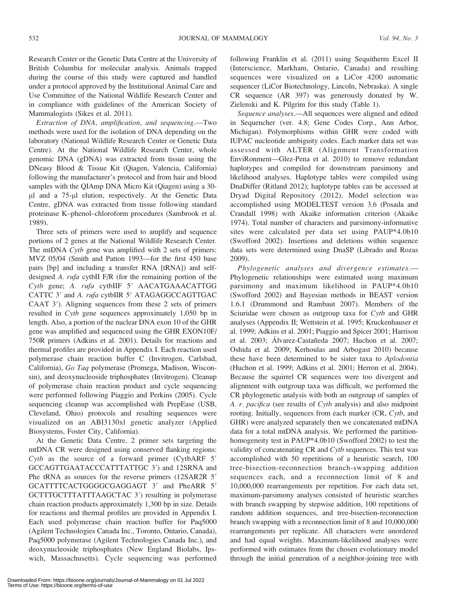Research Center or the Genetic Data Centre at the University of British Columbia for molecular analysis. Animals trapped during the course of this study were captured and handled under a protocol approved by the Institutional Animal Care and Use Committee of the National Wildlife Research Center and in compliance with guidelines of the American Society of Mammalogists (Sikes et al. 2011).

Extraction of DNA, amplification, and sequencing.—Two methods were used for the isolation of DNA depending on the laboratory (National Wildlife Research Center or Genetic Data Centre). At the National Wildlife Research Center, whole genomic DNA (gDNA) was extracted from tissue using the DNeasy Blood & Tissue Kit (Qiagen, Valencia, California) following the manufacturer's protocol and from hair and blood samples with the QIAmp DNA Micro Kit (Qiagen) using a 30 ll and a 75-ll elution, respectively. At the Genetic Data Centre, gDNA was extracted from tissue following standard proteinase K–phenol–chloroform procedures (Sambrook et al. 1989).

Three sets of primers were used to amplify and sequence portions of 2 genes at the National Wildlife Research Center. The mtDNA Cytb gene was amplified with 2 sets of primers: MVZ 05/04 (Smith and Patton 1993—for the first 450 base pairs [bp] and including a transfer RNA [tRNA]) and selfdesigned A. *rufa* cytbII F/R (for the remaining portion of the  $Cytb$  gene; A. rufa cytbIIF  $5'$  AACATGAAACATTGG CATTC 3' and A. rufa cytbIIR 5' ATAGAGGCCAGTTGAC  $CAAT$  3'). Aligning sequences from these 2 sets of primers resulted in Cytb gene sequences approximately 1,050 bp in length. Also, a portion of the nuclear DNA exon 10 of the GHR gene was amplified and sequenced using the GHR EXON10F/ 750R primers (Adkins et al. 2001). Details for reactions and thermal profiles are provided in Appendix I. Each reaction used polymerase chain reaction buffer C (Invitrogen, Carlsbad, California), Go Taq polymerase (Promega, Madison, Wisconsin), and deoxynucleoside triphosphates (Invitrogen). Cleanup of polymerase chain reaction product and cycle sequencing were performed following Piaggio and Perkins (2005). Cycle sequencing cleanup was accomplished with PrepEase (USB, Cleveland, Ohio) protocols and resulting sequences were visualized on an ABI3130xl genetic analyzer (Applied Biosystems, Foster City, California).

At the Genetic Data Centre, 2 primer sets targeting the mtDNA CR were designed using conserved flanking regions: Cytb as the source of a forward primer (CytbARF  $5'$ GCCAGTTGAATACCCATTTATTGC 3') and 12SRNA and Phe tRNA as sources for the reverse primers (12SAR2R 5' GCATTTTCACTGGGGCGAGGAGT 3' and PheARR 5' GCTTTGCTTTATTTAAGCTAC 3') resulting in polymerase chain reaction products approximately 1,300 bp in size. Details for reactions and thermal profiles are provided in Appendix I. Each used polymerase chain reaction buffer for Paq5000 (Agilent Technologies Canada Inc., Toronto, Ontario, Canada), Paq5000 polymerase (Agilent Technologies Canada Inc.), and deoxynucleoside triphosphates (New England Biolabs, Ipswich, Massachusetts). Cycle sequencing was performed following Franklin et al. (2011) using Sequitherm Excel II (Interscience, Markham, Ontario, Canada) and resulting sequences were visualized on a LiCor 4200 automatic sequencer (LiCor Biotechnology, Lincoln, Nebraska). A single CR sequence (AR 397) was generously donated by W. Zielenski and K. Pilgrim for this study (Table 1).

Sequence analyses.—All sequences were aligned and edited in Sequencher (ver. 4.8; Gene Codes Corp., Ann Arbor, Michigan). Polymorphisms within GHR were coded with IUPAC nucleotide ambiguity codes. Each marker data set was assessed with ALTER (Alignment Transformation EnviRonment—Glez-Pena et al. 2010) to remove redundant haplotypes and compiled for downstream parsimony and likelihood analyses. Haplotype tables were compiled using DnaDiffer (Ritland 2012); haplotype tables can be accessed at Dryad Digital Repository (2012). Model selection was accomplished using MODELTEST version 3.6 (Posada and Crandall 1998) with Akaike information criterion (Akaike 1974). Total number of characters and parsimony-informative sites were calculated per data set using PAUP\*4.0b10 (Swofford 2002). Insertions and deletions within sequence data sets were determined using DnaSP (Librado and Rozas 2009).

Phylogenetic analyses and divergence estimates.— Phylogenetic relationships were estimated using maximum parsimony and maximum likelihood in PAUP\*4.0b10 (Swofford 2002) and Bayesian methods in BEAST version 1.6.1 (Drummond and Rambaut 2007). Members of the Sciuridae were chosen as outgroup taxa for Cytb and GHR analyses (Appendix II; Wettstein et al. 1995; Kruckenhauser et al. 1999; Adkins et al. 2001; Piaggio and Spicer 2001; Harrison et al. 2003; Álvarez-Castañeda 2007; Huchon et al. 2007; Oshida et al. 2009; Kerhoulas and Arbogast 2010) because these have been determined to be sister taxa to Aplodontia (Huchon et al. 1999; Adkins et al. 2001; Herron et al. 2004). Because the squirrel CR sequences were too divergent and alignment with outgroup taxa was difficult, we performed the CR phylogenetic analysis with both an outgroup of samples of A. r. pacifica (see results of Cytb analysis) and also midpoint rooting. Initially, sequences from each marker (CR, Cytb, and GHR) were analyzed separately then we concatenated mtDNA data for a total mtDNA analysis. We performed the partitionhomogeneity test in PAUP\*4.0b10 (Swofford 2002) to test the validity of concatenating CR and Cytb sequences. This test was accomplished with 50 repetitions of a heuristic search, 100 tree-bisection-reconnection branch-swapping addition sequences each, and a reconnection limit of 8 and 10,000,000 rearrangements per repetition. For each data set, maximum-parsimony analyses consisted of heuristic searches with branch swapping by stepwise addition, 100 repetitions of random addition sequences, and tree-bisection-reconnection branch swapping with a reconnection limit of 8 and 10,000,000 rearrangements per replicate. All characters were unordered and had equal weights. Maximum-likelihood analyses were performed with estimates from the chosen evolutionary model through the initial generation of a neighbor-joining tree with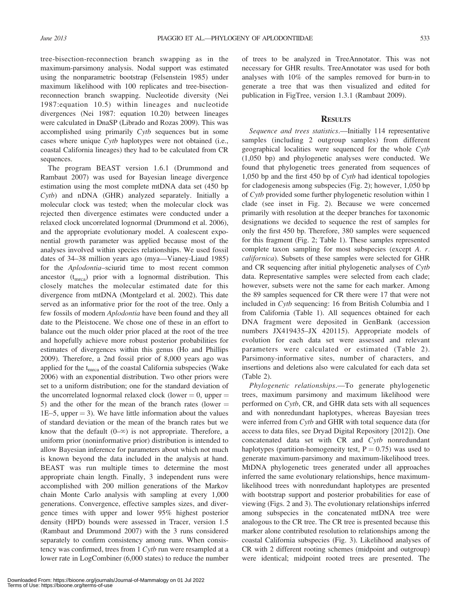tree-bisection-reconnection branch swapping as in the maximum-parsimony analysis. Nodal support was estimated using the nonparametric bootstrap (Felsenstein 1985) under maximum likelihood with 100 replicates and tree-bisectionreconnection branch swapping. Nucleotide diversity (Nei 1987:equation 10.5) within lineages and nucleotide divergences (Nei 1987: equation 10.20) between lineages were calculated in DnaSP (Librado and Rozas 2009). This was accomplished using primarily Cytb sequences but in some cases where unique Cytb haplotypes were not obtained (i.e., coastal California lineages) they had to be calculated from CR sequences.

The program BEAST version 1.6.1 (Drummond and Rambaut 2007) was used for Bayesian lineage divergence estimation using the most complete mtDNA data set (450 bp Cytb) and nDNA (GHR) analyzed separately. Initially a molecular clock was tested; when the molecular clock was rejected then divergence estimates were conducted under a relaxed clock uncorrelated lognormal (Drummond et al. 2006), and the appropriate evolutionary model. A coalescent exponential growth parameter was applied because most of the analyses involved within species relationships. We used fossil dates of 34–38 million years ago (mya—Vianey-Liaud 1985) for the Aplodontia–sciurid time to most recent common ancestor  $(t_{\text{mrca}})$  prior with a lognormal distribution. This closely matches the molecular estimated date for this divergence from mtDNA (Montgelard et al. 2002). This date served as an informative prior for the root of the tree. Only a few fossils of modern Aplodontia have been found and they all date to the Pleistocene. We chose one of these in an effort to balance out the much older prior placed at the root of the tree and hopefully achieve more robust posterior probabilities for estimates of divergences within this genus (Ho and Phillips 2009). Therefore, a 2nd fossil prior of 8,000 years ago was applied for the t<sub>mrca</sub> of the coastal California subspecies (Wake 2006) with an exponential distribution. Two other priors were set to a uniform distribution; one for the standard deviation of the uncorrelated lognormal relaxed clock (lower  $= 0$ , upper  $=$ 5) and the other for the mean of the branch rates (lower  $=$  $1E-5$ , upper  $= 3$ ). We have little information about the values of standard deviation or the mean of the branch rates but we know that the default  $(0-\infty)$  is not appropriate. Therefore, a uniform prior (noninformative prior) distribution is intended to allow Bayesian inference for parameters about which not much is known beyond the data included in the analysis at hand. BEAST was run multiple times to determine the most appropriate chain length. Finally, 3 independent runs were accomplished with 200 million generations of the Markov chain Monte Carlo analysis with sampling at every 1,000 generations. Convergence, effective samples sizes, and divergence times with upper and lower 95% highest posterior density (HPD) bounds were assessed in Tracer, version 1.5 (Rambaut and Drummond 2007) with the 3 runs considered separately to confirm consistency among runs. When consistency was confirmed, trees from 1 Cytb run were resampled at a lower rate in LogCombiner (6,000 states) to reduce the number of trees to be analyzed in TreeAnnotator. This was not necessary for GHR results. TreeAnnotator was used for both analyses with 10% of the samples removed for burn-in to generate a tree that was then visualized and edited for publication in FigTree, version 1.3.1 (Rambaut 2009).

#### **RESULTS**

Sequence and trees statistics.—Initially 114 representative samples (including 2 outgroup samples) from different geographical localities were sequenced for the whole Cytb (1,050 bp) and phylogenetic analyses were conducted. We found that phylogenetic trees generated from sequences of 1,050 bp and the first 450 bp of Cytb had identical topologies for cladogenesis among subspecies (Fig. 2); however, 1,050 bp of Cytb provided some further phylogenetic resolution within 1 clade (see inset in Fig. 2). Because we were concerned primarily with resolution at the deeper branches for taxonomic designations we decided to sequence the rest of samples for only the first 450 bp. Therefore, 380 samples were sequenced for this fragment (Fig. 2; Table 1). These samples represented complete taxon sampling for most subspecies (except A. r. californica). Subsets of these samples were selected for GHR and CR sequencing after initial phylogenetic analyses of Cytb data. Representative samples were selected from each clade; however, subsets were not the same for each marker. Among the 89 samples sequenced for CR there were 17 that were not included in Cytb sequencing: 16 from British Columbia and 1 from California (Table 1). All sequences obtained for each DNA fragment were deposited in GenBank (accession numbers JX419435–JX 420115). Appropriate models of evolution for each data set were assessed and relevant parameters were calculated or estimated (Table 2). Parsimony-informative sites, number of characters, and insertions and deletions also were calculated for each data set (Table 2).

Phylogenetic relationships.—To generate phylogenetic trees, maximum parsimony and maximum likelihood were performed on Cytb, CR, and GHR data sets with all sequences and with nonredundant haplotypes, whereas Bayesian trees were inferred from Cytb and GHR with total sequence data (for access to data files, see Dryad Digital Repository [2012]). One concatenated data set with CR and Cytb nonredundant haplotypes (partition-homogeneity test,  $P = 0.75$ ) was used to generate maximum-parsimony and maximum-likelihood trees. MtDNA phylogenetic trees generated under all approaches inferred the same evolutionary relationships, hence maximumlikelihood trees with nonredundant haplotypes are presented with bootstrap support and posterior probabilities for ease of viewing (Figs. 2 and 3). The evolutionary relationships inferred among subspecies in the concatenated mtDNA tree were analogous to the CR tree. The CR tree is presented because this marker alone contributed resolution to relationships among the coastal California subspecies (Fig. 3). Likelihood analyses of CR with 2 different rooting schemes (midpoint and outgroup) were identical; midpoint rooted trees are presented. The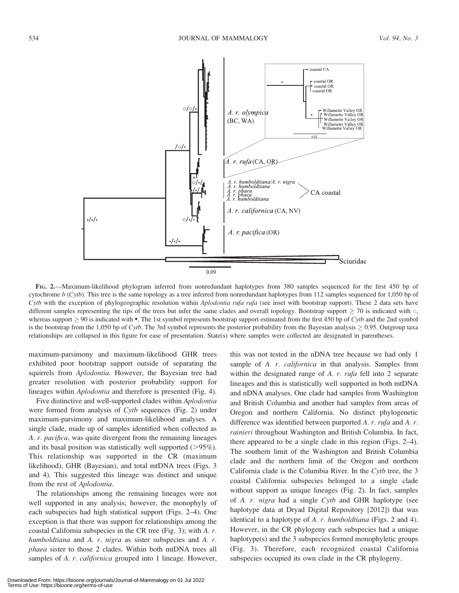

FIG. 2.—Maximum-likelihood phylogram inferred from nonredundant haplotypes from 380 samples sequenced for the first 450 bp of cytochrome  $b$  (Cytb). This tree is the same topology as a tree inferred from nonredundant haplotypes from 112 samples sequenced for 1,050 bp of Cytb with the exception of phylogeographic resolution within Aplodontia rufa rufa (see inset with bootstrap support). These 2 data sets have different samples representing the tips of the trees but infer the same clades and overall topology. Bootstrap support  $\geq$  70 is indicated with  $\circ$ , whereas support  $\geq 90$  is indicated with •. The 1st symbol represents bootstrap support estimated from the first 450 bp of Cytb and the 2nd symbol is the bootstrap from the 1,050 bp of Cytb. The 3rd symbol represents the posterior probability from the Bayesian analysis  $\geq 0.95$ . Outgroup taxa relationships are collapsed in this figure for ease of presentation. State(s) where samples were collected are designated in parentheses.

maximum-parsimony and maximum-likelihood GHR trees exhibited poor bootstrap support outside of separating the squirrels from Aplodontia. However, the Bayesian tree had greater resolution with posterior probability support for lineages within Aplodontia and therefore is presented (Fig. 4).

Five distinctive and well-supported clades within Aplodontia were formed from analysis of  $C$ *ytb* sequences (Fig. 2) under maximum-parsimony and maximum-likelihood analyses. A single clade, made up of samples identified when collected as A. r. pacifica, was quite divergent from the remaining lineages and its basal position was statistically well supported  $(>\!\!95\%)$ . This relationship was supported in the CR (maximum likelihood), GHR (Bayesian), and total mtDNA trees (Figs. 3 and 4). This suggested this lineage was distinct and unique from the rest of Aplodontia.

The relationships among the remaining lineages were not well supported in any analysis; however, the monophyly of each subspecies had high statistical support (Figs. 2–4). One exception is that there was support for relationships among the coastal California subspecies in the CR tree (Fig. 3); with A. r. humboldtiana and A. r. nigra as sister subspecies and A. r. phaea sister to those 2 clades. Within both mtDNA trees all samples of A. r. californica grouped into 1 lineage. However,

this was not tested in the nDNA tree because we had only 1 sample of A. r. californica in that analysis. Samples from within the designated range of A. r. rufa fell into 2 separate lineages and this is statistically well supported in both mtDNA and nDNA analyses. One clade had samples from Washington and British Columbia and another had samples from areas of Oregon and northern California. No distinct phylogenetic difference was identified between purported A. r. rufa and A. r. rainieri throughout Washington and British Columbia. In fact, there appeared to be a single clade in this region (Figs. 2–4). The southern limit of the Washington and British Columbia clade and the northern limit of the Oregon and northern California clade is the Columbia River. In the Cytb tree, the 3 coastal California subspecies belonged to a single clade without support as unique lineages (Fig. 2). In fact, samples of A. r. nigra had a single Cytb and GHR haplotype (see haplotype data at Dryad Digital Repository [2012]) that was identical to a haplotype of A. r. humboldtiana (Figs. 2 and 4). However, in the CR phylogeny each subspecies had a unique haplotype(s) and the 3 subspecies formed monophyletic groups (Fig. 3). Therefore, each recognized coastal California subspecies occupied its own clade in the CR phylogeny.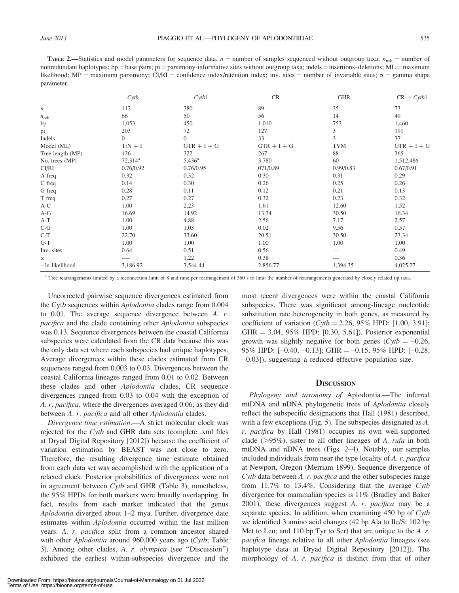**TABLE 2.—Statistics and model parameters for sequence data.**  $n =$  number of samples sequenced without outgroup taxa;  $n_{\text{nth}} =$  number of nonredundant haplotypes; bp = base pairs; pi = parsimony-informative sites without outgroup taxa; indels = insertions–deletions; ML = maximum likelihood; MP = maximum parsimony; CI/RI = confidence index/retention index; inv. sites = number of invariable sites;  $\alpha$  = gamma shape parameter.

|                  | $C$ <i>ytb</i> | Cvtb1           | CR            | <b>GHR</b> | $CR + Cvtb1$  |
|------------------|----------------|-----------------|---------------|------------|---------------|
| $\boldsymbol{n}$ | 112            | 380             | 89            | 35         | 73            |
| $n_{\rm nrh}$    | 66             | 50              | 56            | 14         | 49            |
| bp               | 1,053          | 450             | 1,010         | 753        | 1,460         |
| pi               | 203            | 72              | 127           | 3          | 191           |
| Indels           | $\overline{0}$ | $\overline{0}$  | 33            | 3          | 37            |
| Model (ML)       | $TrN + I$      | $GTR + I + G$   | $GTR + I + G$ | <b>TVM</b> | $GTR + I + G$ |
| Tree length (MP) | 126            | 322             | 267           | 88         | 365           |
| No. trees (MP)   | $72,314^a$     | $5,436^{\rm a}$ | 3,780         | 60         | 1,512,486     |
| CI/RI            | 0.76/0.92      | 0.76/0.95       | 071/0.89      | 0.99/0.83  | 0.67/0.91     |
| A freq           | 0.32           | 0.32            | 0.30          | 0.31       | 0.29          |
| C freq           | 0.14           | 0.30            | 0.26          | 0.25       | 0.26          |
| G freq           | 0.28           | 0.11            | 0.12          | 0.21       | 0.13          |
| T freq           | 0.27           | 0.27            | 0.32          | 0.23       | 0.32          |
| $A-C$            | 1.00           | 2.23            | 1.61          | 12.60      | 1.52          |
| $A-G$            | 16.69          | 14.92           | 13.74         | 30.50      | 16.34         |
| $A-T$            | 1.00           | 4.88            | 2.56          | 7.17       | 2.57          |
| $C-G$            | 1.00           | 1.03            | 0.02          | 9.56       | 0.57          |
| $C-T$            | 22.70          | 33.60           | 20.51         | 30.50      | 23.34         |
| $G-T$            | 1.00           | 1.00            | 1.00          | 1.00       | 1.00          |
| Inv. sites       | 0.64           | 0.51            | 0.56          |            | 0.49          |
| $\alpha$         |                | 1.22            | 0.38          |            | 0.36          |
| -In likelihood   | 3,186.92       | 3,544.44        | 2,856.77      | 1,394.35   | 4,025.27      |

<sup>a</sup> Tree rearrangements limited by a reconnection limit of 8 and time per rearrangement of 360 s to limit the number of rearrangements generated by closely related tip taxa.

Uncorrected pairwise sequence divergences estimated from the Cytb sequences within Aplodontia clades range from 0.004 to 0.01. The average sequence divergence between A. r. pacifica and the clade containing other Aplodontia subspecies was 0.13. Sequence divergences between the coastal California subspecies were calculated from the CR data because this was the only data set where each subspecies had unique haplotypes. Average divergences within these clades estimated from CR sequences ranged from 0.003 to 0.03. Divergences between the coastal California lineages ranged from 0.01 to 0.02. Between these clades and other Aplodontia clades, CR sequence divergences ranged from 0.03 to 0.04 with the exception of A. r. pacifica, where the divergences averaged 0.06, as they did between A. r. pacifica and all other Aplodontia clades.

Divergence time estimation.—A strict molecular clock was rejected for the Cytb and GHR data sets (complete .xml files at Dryad Digital Repository [2012]) because the coefficient of variation estimation by BEAST was not close to zero. Therefore, the resulting divergence time estimate obtained from each data set was accomplished with the application of a relaxed clock. Posterior probabilities of divergences were not in agreement between Cytb and GHR (Table 3); nonetheless, the 95% HPDs for both markers were broadly overlapping. In fact, results from each marker indicated that the genus Aplodontia diverged about 1–2 mya. Further, divergence date estimates within Aplodontia occurred within the last million years. A. r. pacifica split from a common ancestor shared with other *Aplodontia* around 960,000 years ago (Cytb; Table 3). Among other clades, A. r. olympica (see ''Discussion'') exhibited the earliest within-subspecies divergence and the

most recent divergences were within the coastal California subspecies. There was significant among-lineage nucleotide substitution rate heterogeneity in both genes, as measured by coefficient of variation  $(Cytb = 2.26, 95\%$  HPD: [1.00, 3.91];  $GHR = 3.04, 95\%$  HPD: [0.30, 5.61]). Posterior exponential growth was slightly negative for both genes ( $Cytb = -0.26$ ,  $95\%$  HPD:  $[-0.40, -0.13]$ ; GHR  $=-0.15, 95\%$  HPD:  $[-0.28,$ -0.03]), suggesting a reduced effective population size.

#### **DISCUSSION**

Phylogeny and taxonomy of Aplodontia.—The inferred mtDNA and nDNA phylogenetic trees of Aplodontia closely reflect the subspecific designations that Hall (1981) described, with a few exceptions (Fig. 5). The subspecies designated as A. r. pacifica by Hall (1981) occupies its own well-supported clade ( $>95\%$ ), sister to all other lineages of A. *rufa* in both mtDNA and nDNA trees (Figs. 2–4). Notably, our samples included individuals from near the type locality of A. r. pacifica at Newport, Oregon (Merriam 1899). Sequence divergence of Cytb data between A. r. pacifica and the other subspecies range from 11.7% to 13.4%. Considering that the average Cytb divergence for mammalian species is 11% (Bradley and Baker  $2001$ ), these divergences suggest A. r. pacifica may be a separate species. In addition, when examining 450 bp of Cytb we identified 3 amino acid changes (42 bp Ala to Ile/S; 102 bp Met to Leu; and 110 bp Tyr to Ser) that are unique to the  $A$ .  $r$ . pacifica lineage relative to all other Aplodontia lineages (see haplotype data at Dryad Digital Repository [2012]). The morphology of A. r. pacifica is distinct from that of other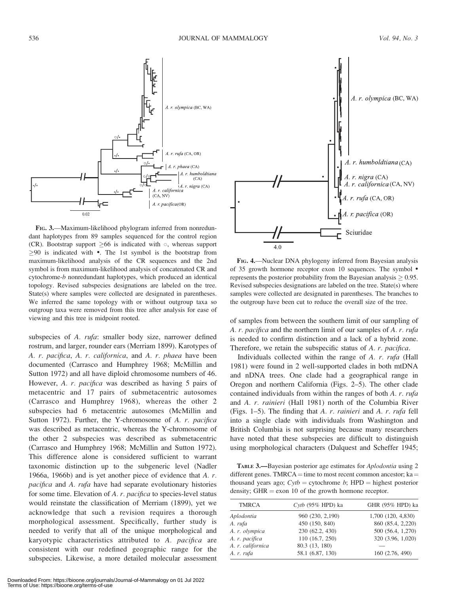

FIG. 3.—Maximum-likelihood phylogram inferred from nonredundant haplotypes from 89 samples sequenced for the control region (CR). Bootstrap support  $\geq 66$  is indicated with  $\circ$ , whereas support  $>90$  is indicated with  $\bullet$ . The 1st symbol is the bootstrap from maximum-likelihood analysis of the CR sequences and the 2nd symbol is from maximum-likelihood analysis of concatenated CR and cytochrome-b nonredundant haplotypes, which produced an identical topology. Revised subspecies designations are labeled on the tree. State(s) where samples were collected are designated in parentheses. We inferred the same topology with or without outgroup taxa so outgroup taxa were removed from this tree after analysis for ease of viewing and this tree is midpoint rooted.

subspecies of A. rufa: smaller body size, narrower defined rostrum, and larger, rounder ears (Merriam 1899). Karotypes of A. r. pacifica, A. r. californica, and A. r. phaea have been documented (Carrasco and Humphrey 1968; McMillin and Sutton 1972) and all have diploid chromosome numbers of 46. However, A. r. pacifica was described as having 5 pairs of metacentric and 17 pairs of submetacentric autosomes (Carrasco and Humphrey 1968), whereas the other 2 subspecies had 6 metacentric autosomes (McMillin and Sutton 1972). Further, the Y-chromosome of A. r. pacifica was described as metacentric, whereas the Y-chromosome of the other 2 subspecies was described as submetacentric (Carrasco and Humphrey 1968; McMillin and Sutton 1972). This difference alone is considered sufficient to warrant taxonomic distinction up to the subgeneric level (Nadler 1966a, 1966b) and is yet another piece of evidence that A. r. pacifica and A. rufa have had separate evolutionary histories for some time. Elevation of A. r. pacifica to species-level status would reinstate the classification of Merriam (1899), yet we acknowledge that such a revision requires a thorough morphological assessment. Specifically, further study is needed to verify that all of the unique morphological and karyotypic characteristics attributed to A. pacifica are consistent with our redefined geographic range for the subspecies. Likewise, a more detailed molecular assessment



FIG. 4.—Nuclear DNA phylogeny inferred from Bayesian analysis of 35 growth hormone receptor exon 10 sequences. The symbol represents the posterior probability from the Bayesian analysis  $> 0.95$ . Revised subspecies designations are labeled on the tree. State(s) where samples were collected are designated in parentheses. The branches to the outgroup have been cut to reduce the overall size of the tree.

of samples from between the southern limit of our sampling of A. r. pacifica and the northern limit of our samples of A. r. rufa is needed to confirm distinction and a lack of a hybrid zone. Therefore, we retain the subspecific status of A. r. pacifica.

Individuals collected within the range of A. r. rufa (Hall 1981) were found in 2 well-supported clades in both mtDNA and nDNA trees. One clade had a geographical range in Oregon and northern California (Figs. 2–5). The other clade contained individuals from within the ranges of both A. r. rufa and A. r. rainieri (Hall 1981) north of the Columbia River (Figs. 1–5). The finding that A. r. rainieri and A. r. rufa fell into a single clade with individuals from Washington and British Columbia is not surprising because many researchers have noted that these subspecies are difficult to distinguish using morphological characters (Dalquest and Scheffer 1945;

TABLE 3.—Bayesian posterior age estimates for Aplodontia using 2 different genes. TMRCA = time to most recent common ancestor; ka = thousand years ago;  $Cytb = cytochrome b$ ; HPD = highest posterior density; GHR  $=$  exon 10 of the growth hormone receptor.

|                                                        | GHR (95% HPD) ka |
|--------------------------------------------------------|------------------|
| 1,700 (120, 4,830)<br>960 (230, 2,190)<br>Aplodontia   |                  |
| 860 (85.4, 2,220)<br>450 (150, 840)<br>A. rufa         |                  |
| 230 (62.2, 430)<br>500 (56.4, 1,270)<br>A. r. olympica |                  |
| 110 (16.7, 250)<br>320 (3.96, 1,020)<br>A. r. pacifica |                  |
| 80.3 (13, 180)<br>A. r. californica                    |                  |
| 58.1 (6.87, 130)<br>160 (2.76, 490)<br>A. r. rufa      |                  |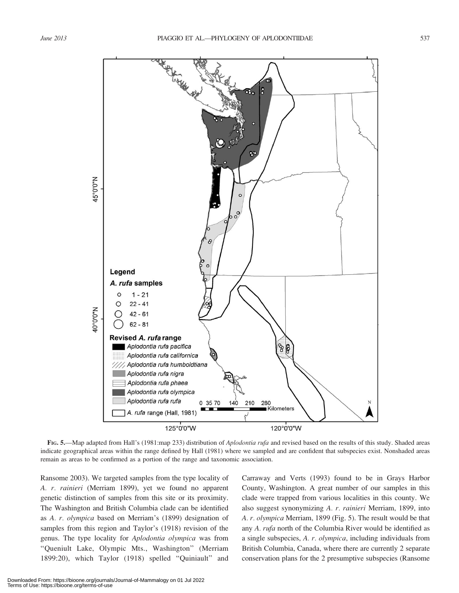

FIG. 5.—Map adapted from Hall's (1981:map 233) distribution of *Aplodontia rufa* and revised based on the results of this study. Shaded areas indicate geographical areas within the range defined by Hall (1981) where we sampled and are confident that subspecies exist. Nonshaded areas remain as areas to be confirmed as a portion of the range and taxonomic association.

Ransome 2003). We targeted samples from the type locality of A. r. rainieri (Merriam 1899), yet we found no apparent genetic distinction of samples from this site or its proximity. The Washington and British Columbia clade can be identified as A. r. olympica based on Merriam's (1899) designation of samples from this region and Taylor's (1918) revision of the genus. The type locality for Aplodontia olympica was from ''Queniult Lake, Olympic Mts., Washington'' (Merriam 1899:20), which Taylor (1918) spelled ''Quiniault'' and Carraway and Verts (1993) found to be in Grays Harbor County, Washington. A great number of our samples in this clade were trapped from various localities in this county. We also suggest synonymizing A. r. rainieri Merriam, 1899, into A. r. olympica Merriam, 1899 (Fig. 5). The result would be that any A. rufa north of the Columbia River would be identified as a single subspecies, A. r. olympica, including individuals from British Columbia, Canada, where there are currently 2 separate conservation plans for the 2 presumptive subspecies (Ransome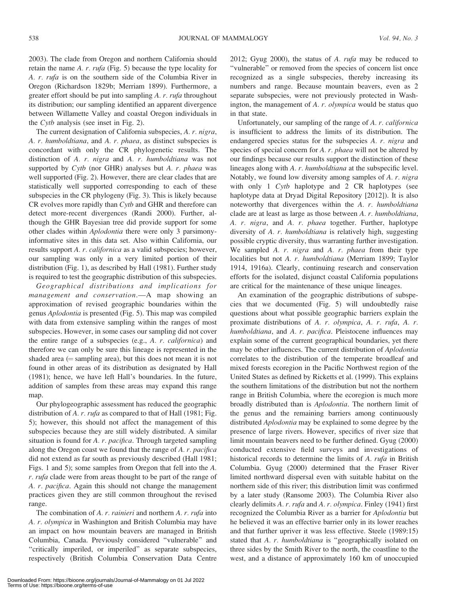2003). The clade from Oregon and northern California should retain the name A.  $r. rufa$  (Fig. 5) because the type locality for A. r. rufa is on the southern side of the Columbia River in Oregon (Richardson 1829b; Merriam 1899). Furthermore, a greater effort should be put into sampling A. r. rufa throughout its distribution; our sampling identified an apparent divergence between Willamette Valley and coastal Oregon individuals in the Cytb analysis (see inset in Fig. 2).

The current designation of California subspecies, A. r. nigra, A. r. humboldtiana, and A. r. phaea, as distinct subspecies is concordant with only the CR phylogenetic results. The distinction of A. r. nigra and A. r. humboldtiana was not supported by  $C$ ytb (nor GHR) analyses but  $A$ .  $r$ . phaea was well supported (Fig. 2). However, there are clear clades that are statistically well supported corresponding to each of these subspecies in the CR phylogeny (Fig. 3). This is likely because CR evolves more rapidly than Cytb and GHR and therefore can detect more-recent divergences (Randi 2000). Further, although the GHR Bayesian tree did provide support for some other clades within Aplodontia there were only 3 parsimonyinformative sites in this data set. Also within California, our results support A. r. californica as a valid subspecies; however, our sampling was only in a very limited portion of their distribution (Fig. 1), as described by Hall (1981). Further study is required to test the geographic distribution of this subspecies.

Geographical distributions and implications for management and conservation.—A map showing an approximation of revised geographic boundaries within the genus Aplodontia is presented (Fig. 5). This map was compiled with data from extensive sampling within the ranges of most subspecies. However, in some cases our sampling did not cover the entire range of a subspecies (e.g., A. r. californica) and therefore we can only be sure this lineage is represented in the shaded area  $(=$  sampling area), but this does not mean it is not found in other areas of its distribution as designated by Hall (1981); hence, we have left Hall's boundaries. In the future, addition of samples from these areas may expand this range map.

Our phylogeographic assessment has reduced the geographic distribution of A. r. rufa as compared to that of Hall (1981; Fig. 5); however, this should not affect the management of this subspecies because they are still widely distributed. A similar situation is found for A. r. pacifica. Through targeted sampling along the Oregon coast we found that the range of A. r. pacifica did not extend as far south as previously described (Hall 1981; Figs. 1 and 5); some samples from Oregon that fell into the A. r. rufa clade were from areas thought to be part of the range of A. r. pacifica. Again this should not change the management practices given they are still common throughout the revised range.

The combination of A. r. rainieri and northern A. r. rufa into A. r. olympica in Washington and British Columbia may have an impact on how mountain beavers are managed in British Columbia, Canada. Previously considered ''vulnerable'' and "critically imperiled, or imperiled" as separate subspecies, respectively (British Columbia Conservation Data Centre

Unfortunately, our sampling of the range of A. r. californica is insufficient to address the limits of its distribution. The endangered species status for the subspecies A. r. nigra and species of special concern for A. r. phaea will not be altered by our findings because our results support the distinction of these lineages along with A. r. humboldtiana at the subspecific level. Notably, we found low diversity among samples of A. r. nigra with only 1 Cyth haplotype and 2 CR haplotypes (see haplotype data at Dryad Digital Repository [2012]). It is also noteworthy that divergences within the A. r. humboldtiana clade are at least as large as those between A. r. humboldtiana, A. r. nigra, and A. r. phaea together. Further, haplotype diversity of A. r. humboldtiana is relatively high, suggesting possible cryptic diversity, thus warranting further investigation. We sampled A. r. nigra and A. r. phaea from their type localities but not A. r. humboldtiana (Merriam 1899; Taylor 1914, 1916a). Clearly, continuing research and conservation efforts for the isolated, disjunct coastal California populations are critical for the maintenance of these unique lineages.

An examination of the geographic distributions of subspecies that we documented (Fig. 5) will undoubtedly raise questions about what possible geographic barriers explain the proximate distributions of A. r. olympica, A. r. rufa, A. r. humboldtiana, and A. r. pacifica. Pleistocene influences may explain some of the current geographical boundaries, yet there may be other influences. The current distribution of Aplodontia correlates to the distribution of the temperate broadleaf and mixed forests ecoregion in the Pacific Northwest region of the United States as defined by Ricketts et al. (1999). This explains the southern limitations of the distribution but not the northern range in British Columbia, where the ecoregion is much more broadly distributed than is Aplodontia. The northern limit of the genus and the remaining barriers among continuously distributed Aplodontia may be explained to some degree by the presence of large rivers. However, specifics of river size that limit mountain beavers need to be further defined. Gyug (2000) conducted extensive field surveys and investigations of historical records to determine the limits of A. rufa in British Columbia. Gyug (2000) determined that the Fraser River limited northward dispersal even with suitable habitat on the northern side of this river; this distribution limit was confirmed by a later study (Ransome 2003). The Columbia River also clearly delimits A. r. rufa and A. r. olympica. Finley (1941) first recognized the Columbia River as a barrier for Aplodontia but he believed it was an effective barrier only in its lower reaches and that further upriver it was less effective. Steele (1989:15) stated that A. r. humboldtiana is "geographically isolated on three sides by the Smith River to the north, the coastline to the west, and a distance of approximately 160 km of unoccupied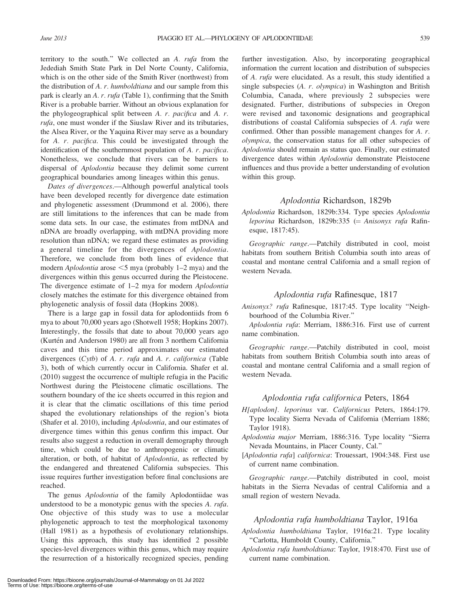territory to the south.'' We collected an A. rufa from the Jedediah Smith State Park in Del Norte County, California, which is on the other side of the Smith River (northwest) from the distribution of  $A$ .  $r$ . humboldtiana and our sample from this park is clearly an A. r. rufa (Table 1), confirming that the Smith River is a probable barrier. Without an obvious explanation for the phylogeographical split between A. r. pacifica and A. r. rufa, one must wonder if the Siuslaw River and its tributaries, the Alsea River, or the Yaquina River may serve as a boundary for A. r. pacifica. This could be investigated through the identification of the southernmost population of A. r. pacifica. Nonetheless, we conclude that rivers can be barriers to dispersal of Aplodontia because they delimit some current geographical boundaries among lineages within this genus.

Dates of divergences.—Although powerful analytical tools have been developed recently for divergence date estimation and phylogenetic assessment (Drummond et al. 2006), there are still limitations to the inferences that can be made from some data sets. In our case, the estimates from mtDNA and nDNA are broadly overlapping, with mtDNA providing more resolution than nDNA; we regard these estimates as providing a general timeline for the divergences of Aplodontia. Therefore, we conclude from both lines of evidence that modern *Aplodontia* arose  $\leq$ 5 mya (probably 1–2 mya) and the divergences within this genus occurred during the Pleistocene. The divergence estimate of 1–2 mya for modern *Aplodontia* closely matches the estimate for this divergence obtained from phylogenetic analysis of fossil data (Hopkins 2008).

There is a large gap in fossil data for aplodontiids from 6 mya to about 70,000 years ago (Shotwell 1958; Hopkins 2007). Interestingly, the fossils that date to about 70,000 years ago (Kurtén and Anderson 1980) are all from 3 northern California caves and this time period approximates our estimated divergences (Cytb) of A. r. rufa and A. r. californica (Table 3), both of which currently occur in California. Shafer et al. (2010) suggest the occurrence of multiple refugia in the Pacific Northwest during the Pleistocene climatic oscillations. The southern boundary of the ice sheets occurred in this region and it is clear that the climatic oscillations of this time period shaped the evolutionary relationships of the region's biota (Shafer et al. 2010), including Aplodontia, and our estimates of divergence times within this genus confirm this impact. Our results also suggest a reduction in overall demography through time, which could be due to anthropogenic or climatic alteration, or both, of habitat of Aplodontia, as reflected by the endangered and threatened California subspecies. This issue requires further investigation before final conclusions are reached.

The genus Aplodontia of the family Aplodontiidae was understood to be a monotypic genus with the species A. rufa. One objective of this study was to use a molecular phylogenetic approach to test the morphological taxonomy (Hall 1981) as a hypothesis of evolutionary relationships. Using this approach, this study has identified 2 possible species-level divergences within this genus, which may require the resurrection of a historically recognized species, pending further investigation. Also, by incorporating geographical information the current location and distribution of subspecies of A. rufa were elucidated. As a result, this study identified a single subspecies (A. r. olympica) in Washington and British Columbia, Canada, where previously 2 subspecies were designated. Further, distributions of subspecies in Oregon were revised and taxonomic designations and geographical distributions of coastal California subspecies of A. rufa were confirmed. Other than possible management changes for A. r. olympica, the conservation status for all other subspecies of Aplodontia should remain as status quo. Finally, our estimated divergence dates within Aplodontia demonstrate Pleistocene influences and thus provide a better understanding of evolution within this group.

#### Aplodontia Richardson, 1829b

Aplodontia Richardson, 1829b:334. Type species Aplodontia leporina Richardson, 1829b:335 (= Anisonyx rufa Rafinesque, 1817:45).

Geographic range.—Patchily distributed in cool, moist habitats from southern British Columbia south into areas of coastal and montane central California and a small region of western Nevada.

#### Aplodontia rufa Rafinesque, 1817

Anisonyx? rufa Rafinesque, 1817:45. Type locality "Neighbourhood of the Columbia River.''

Aplodontia rufa: Merriam, 1886:316. First use of current name combination.

Geographic range.—Patchily distributed in cool, moist habitats from southern British Columbia south into areas of coastal and montane central California and a small region of western Nevada.

#### Aplodontia rufa californica Peters, 1864

- H[aplodon]. leporinus var. Californicus Peters, 1864:179. Type locality Sierra Nevada of California (Merriam 1886; Taylor 1918).
- Aplodontia major Merriam, 1886:316. Type locality "Sierra Nevada Mountains, in Placer County, Cal.''
- [Aplodontia rufa] californica: Trouessart, 1904:348. First use of current name combination.

Geographic range.—Patchily distributed in cool, moist habitats in the Sierra Nevadas of central California and a small region of western Nevada.

#### Aplodontia rufa humboldtiana Taylor, 1916a

Aplodontia humboldtiana Taylor, 1916a:21. Type locality ''Carlotta, Humboldt County, California.''

Aplodontia rufa humboldtiana: Taylor, 1918:470. First use of current name combination.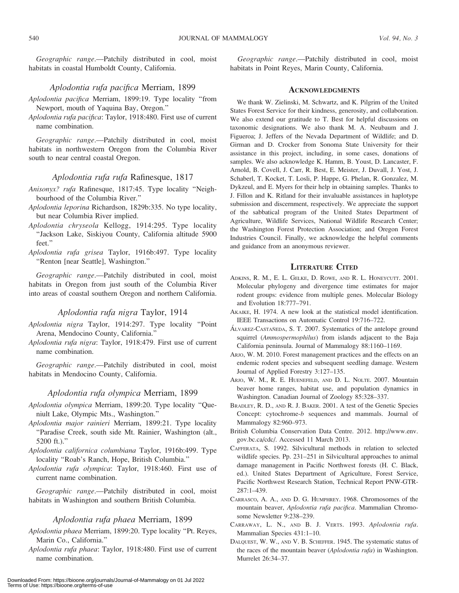Geographic range.—Patchily distributed in cool, moist habitats in coastal Humboldt County, California.

#### Aplodontia rufa pacifica Merriam, 1899

- Aplodontia pacifica Merriam, 1899:19. Type locality ''from Newport, mouth of Yaquina Bay, Oregon.''
- Aplodontia rufa pacifica: Taylor, 1918:480. First use of current name combination.

Geographic range.—Patchily distributed in cool, moist habitats in northwestern Oregon from the Columbia River south to near central coastal Oregon.

#### Aplodontia rufa rufa Rafinesque, 1817

- Anisonyx? rufa Rafinesque, 1817:45. Type locality ''Neighbourhood of the Columbia River.''
- Aplodontia leporina Richardson, 1829b:335. No type locality, but near Columbia River implied.
- Aplodontia chryseola Kellogg, 1914:295. Type locality ''Jackson Lake, Siskiyou County, California altitude 5900 feet.''
- Aplodontia rufa grisea Taylor, 1916b:497. Type locality ''Renton [near Seattle], Washington.''

Geographic range.—Patchily distributed in cool, moist habitats in Oregon from just south of the Columbia River into areas of coastal southern Oregon and northern California.

#### Aplodontia rufa nigra Taylor, 1914

- Aplodontia nigra Taylor, 1914:297. Type locality ''Point Arena, Mendocino County, California.''
- Aplodontia rufa nigra: Taylor, 1918:479. First use of current name combination.

Geographic range.—Patchily distributed in cool, moist habitats in Mendocino County, California.

#### Aplodontia rufa olympica Merriam, 1899

- Aplodontia olympica Merriam, 1899:20. Type locality ''Queniult Lake, Olympic Mts., Washington.''
- Aplodontia major rainieri Merriam, 1899:21. Type locality ''Paradise Creek, south side Mt. Rainier, Washington (alt., 5200 ft.).''
- Aplodontia californica columbiana Taylor, 1916b:499. Type locality ''Roab's Ranch, Hope, British Columbia.''
- Aplodontia rufa olympica: Taylor, 1918:460. First use of current name combination.

Geographic range.—Patchily distributed in cool, moist habitats in Washington and southern British Columbia.

#### Aplodontia rufa phaea Merriam, 1899

- Aplodontia phaea Merriam, 1899:20. Type locality ''Pt. Reyes, Marin Co., California.''
- Aplodontia rufa phaea: Taylor, 1918:480. First use of current name combination.

Geographic range.—Patchily distributed in cool, moist habitats in Point Reyes, Marin County, California.

#### **ACKNOWLEDGMENTS**

We thank W. Zielinski, M. Schwartz, and K. Pilgrim of the United States Forest Service for their kindness, generosity, and collaboration. We also extend our gratitude to T. Best for helpful discussions on taxonomic designations. We also thank M. A. Neubaum and J. Figueroa; J. Jeffers of the Nevada Department of Wildlife; and D. Girman and D. Crocker from Sonoma State University for their assistance in this project, including, in some cases, donations of samples. We also acknowledge K. Hamm, B. Youst, D. Lancaster, F. Arnold, B. Covell, J. Carr, R. Best, E. Meister, J. Duvall, J. Yost, J. Schaberl, T. Kocket, T. Losli, P. Happe, G. Phelan, R. Gonzalez, M. Dykzeul, and E. Myers for their help in obtaining samples. Thanks to J. Fillon and K. Ritland for their invaluable assistances in haplotype submission and discernment, respectively. We appreciate the support of the sabbatical program of the United States Department of Agriculture, Wildlife Services, National Wildlife Research Center; the Washington Forest Protection Association; and Oregon Forest Industries Council. Finally, we acknowledge the helpful comments and guidance from an anonymous reviewer.

### LITERATURE CITED

- ADKINS, R. M., E. L. GELKE, D. ROWE, AND R. L. HONEYCUTT. 2001. Molecular phylogeny and divergence time estimates for major rodent groups: evidence from multiple genes. Molecular Biology and Evolution 18:777–791.
- AKAIKE, H. 1974. A new look at the statistical model identification. IEEE Transactions on Automatic Control 19:716–722.
- ÁLVAREZ-CASTAÑEDA, S. T. 2007. Systematics of the antelope ground squirrel (Ammospermophilus) from islands adjacent to the Baja California peninsula. Journal of Mammalogy 88:1160–1169.
- ARJO, W. M. 2010. Forest management practices and the effects on an endemic rodent species and subsequent seedling damage. Western Journal of Applied Forestry 3:127–135.
- ARJO, W. M., R. E. HUENEFELD, AND D. L. NOLTE. 2007. Mountain beaver home ranges, habitat use, and population dynamics in Washington. Canadian Journal of Zoology 85:328–337.
- BRADLEY, R. D., AND R. J. BAKER. 2001. A test of the Genetic Species Concept: cytochrome-b sequences and mammals. Journal of Mammalogy 82:960–973.
- British Columbia Conservation Data Centre. 2012. http://www.env. gov.bc.ca/cdc/. Accessed 11 March 2013.
- CAFFERATA, S. 1992. Silvicultural methods in relation to selected wildlife species. Pp. 231–251 in Silvicultural approaches to animal damage management in Pacific Northwest forests (H. C. Black, ed.). United States Department of Agriculture, Forest Service, Pacific Northwest Research Station, Technical Report PNW-GTR-287:1–439.
- CARRASCO, A. A., AND D. G. HUMPHREY. 1968. Chromosomes of the mountain beaver, Aplodontia rufa pacifica. Mammalian Chromosome Newsletter 9:238–239.
- CARRAWAY, L. N., AND B. J. VERTS. 1993. Aplodontia rufa. Mammalian Species 431:1–10.
- DALQUEST, W. W., AND V. B. SCHEFFER. 1945. The systematic status of the races of the mountain beaver (Aplodontia rufa) in Washington. Murrelet 26:34–37.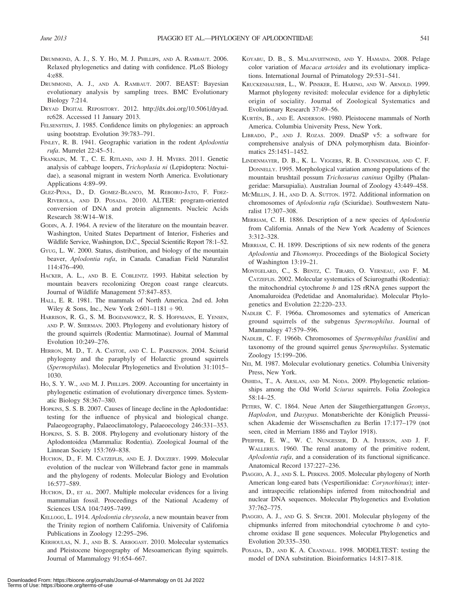- DRUMMOND, A. J., S. Y. HO, M. J. PHILLIPS, AND A. RAMBAUT. 2006. Relaxed phylogenetics and dating with confidence. PLoS Biology 4:e88.
- DRUMMOND, A. J., AND A. RAMBAUT. 2007. BEAST: Bayesian evolutionary analysis by sampling trees. BMC Evolutionary Biology 7:214.
- DRYAD DIGITAL REPOSITORY. 2012. http://dx.doi.org/10.5061/dryad. rc628. Accessed 11 January 2013.
- FELSENSTEIN, J. 1985. Confidence limits on phylogenies: an approach using bootstrap. Evolution 39:783–791.
- FINLEY, R. B. 1941. Geographic variation in the rodent Aplodontia rufa. Murrelet 22:45–51.
- FRANKLIN, M. T., C. E. RITLAND, AND J. H. MYERS. 2011. Genetic analysis of cabbage loopers, Trichoplusia ni (Lepidoptera: Noctuidae), a seasonal migrant in western North America. Evolutionary Applications 4:89–99.
- GLEZ-PENA, D., D. GOMEZ-BLANCO, M. REBOIRO-JATO, F. FDEZ-RIVEROLA, AND D. POSADA. 2010. ALTER: program-oriented conversion of DNA and protein alignments. Nucleic Acids Research 38:W14–W18.
- GODIN, A. J. 1964. A review of the literature on the mountain beaver. Washington, United States Department of Interior, Fisheries and Wildlife Service, Washington, D.C., Special Scientific Report 78:1–52.
- GYUG, L. W. 2000. Status, distribution, and biology of the mountain beaver, Aplodontia rufa, in Canada. Canadian Field Naturalist 114:476–490.
- HACKER, A. L., AND B. E. COBLENTZ. 1993. Habitat selection by mountain beavers recolonizing Oregon coast range clearcuts. Journal of Wildlife Management 57:847–853.
- HALL, E. R. 1981. The mammals of North America. 2nd ed. John Wiley & Sons, Inc., New York  $2:601-1181 + 90$ .
- HARRISON, R. G., S. M. BOGDANOWICZ, R. S. HOFFMANN, E. YENSEN, AND P. W. SHERMAN. 2003. Phylogeny and evolutionary history of the ground squirrels (Rodentia: Marmotinae). Journal of Mammal Evolution 10:249–276.
- HERRON, M. D., T. A. CASTOE, AND C. L. PARKINSON. 2004. Sciurid phylogeny and the paraphyly of Holarctic ground squirrels (Spermophilus). Molecular Phylogenetics and Evolution 31:1015– 1030.
- HO, S. Y. W., AND M. J. PHILLIPS. 2009. Accounting for uncertainty in phylogenetic estimation of evolutionary divergence times. Systematic Biology 58:367–380.
- HOPKINS, S. S. B. 2007. Causes of lineage decline in the Aplodontidae: testing for the influence of physical and biological change. Palaeogeography, Palaeoclimatology, Palaeoecology 246:331–353.
- HOPKINS, S. S. B. 2008. Phylogeny and evolutionary history of the Aplodontoidea (Mammalia: Rodentia). Zoological Journal of the Linnean Society 153:769–838.
- HUCHON, D., F. M. CATZEFLIS, AND E. J. DOUZERY. 1999. Molecular evolution of the nuclear von Willebrand factor gene in mammals and the phylogeny of rodents. Molecular Biology and Evolution 16:577–589.
- HUCHON, D., ET AL. 2007. Multiple molecular evidences for a living mammalian fossil. Proceedings of the National Academy of Sciences USA 104:7495–7499.
- KELLOGG, L. 1914. Aplodontia chryseola, a new mountain beaver from the Trinity region of northern California. University of California Publications in Zoology 12:295–296.
- KERHOULAS, N. J., AND B. S. ARBOGAST. 2010. Molecular systematics and Pleistocene biogeography of Mesoamerican flying squirrels. Journal of Mammalogy 91:654–667.
- KOYABU, D. B., S. MALAIVIJITNOND, AND Y. HAMADA. 2008. Pelage color variation of Macaca artoides and its evolutionary implications. International Journal of Primatology 29:531–541.
- KRUCKENHAUSER, L., W. PINSKER, E. HARING, AND W. ARNOLD. 1999. Marmot phylogeny revisited: molecular evidence for a diphyletic origin of sociality. Journal of Zoological Systematics and Evolutionary Research 37:49–56.
- KURTÉN, B., AND E. ANDERSON. 1980. Pleistocene mammals of North America. Columbia University Press, New York.
- LIBRADO, P., AND J. ROZAS. 2009. DnaSP v5: a software for comprehensive analysis of DNA polymorphism data. Bioinformatics 25:1451–1452.
- LINDENMAYER, D. B., K. L. VIGGERS, R. B. CUNNINGHAM, AND C. F. DONNELLY. 1995. Morphological variation among populations of the mountain brushtail possum Trichosurus caninus Ogilby (Phalangeridae: Marsupialia). Australian Journal of Zoology 43:449–458.
- MCMILLIN, J. H., AND D. A. SUTTON. 1972. Additional information on chromosomes of Aplodontia rufa (Sciuridae). Southwestern Naturalist 17:307–308.
- MERRIAM, C. H. 1886. Description of a new species of Aplodontia from California. Annals of the New York Academy of Sciences 3:312–328.
- MERRIAM, C. H. 1899. Descriptions of six new rodents of the genera Aplodontia and Thomomys. Proceedings of the Biological Society of Washington 13:19–21.
- MONTGELARD, C., S. BENTZ, C. TIRARD, O. VERNEAU, AND F. M. CATZEFLIS. 2002. Molecular systematics of Sciurognathi (Rodentia): the mitochondrial cytochrome b and 12S rRNA genes support the Anomaluroidea (Pedetidae and Anomaluridae). Molecular Phylogenetics and Evolution 22:220–233.
- NADLER C. F. 1966a. Chromosomes and sytematics of American ground squirrels of the subgenus Spermophilus. Journal of Mammalogy 47:579–596.
- NADLER, C. F. 1966b. Chromosomes of Spermophilus franklini and taxonomy of the ground squirrel genus Spermophilus. Systematic Zoology 15:199–206.
- NEI, M. 1987. Molecular evolutionary genetics. Columbia University Press, New York.
- OSHIDA, T., A. ARSLAN, AND M. NODA. 2009. Phylogenetic relationships among the Old World Sciurus squirrels. Folia Zoologica 58:14–25.
- PETERS, W. C. 1864. Neue Arten der Säugethiergattungen Geomys, Haplodon, und Dasypus. Monatsberichte der Königlich Preussischen Akademie der Wissenschaften zu Berlin 17:177–179 (not seen, cited in Merriam 1886 and Taylor 1918).
- PFEIFFER, E. W., W. C. NUNGESSER, D. A. IVERSON, AND J. F. WALLERIUS. 1960. The renal anatomy of the primitive rodent, Aplodontia rufa, and a consideration of its functional significance. Anatomical Record 137:227–236.
- PIAGGIO, A. J., AND S. L. PERKINS. 2005. Molecular phylogeny of North American long-eared bats (Vespertilionidae: Corynorhinus); interand intraspecific relationships inferred from mitochondrial and nuclear DNA sequences. Molecular Phylogenetics and Evolution 37:762–775.
- PIAGGIO, A. J., AND G. S. SPICER. 2001. Molecular phylogeny of the chipmunks inferred from mitochondrial cytochrome b and cytochrome oxidase II gene sequences. Molecular Phylogenetics and Evolution 20:335–350.
- POSADA, D., AND K. A. CRANDALL. 1998. MODELTEST: testing the model of DNA substitution. Bioinformatics 14:817–818.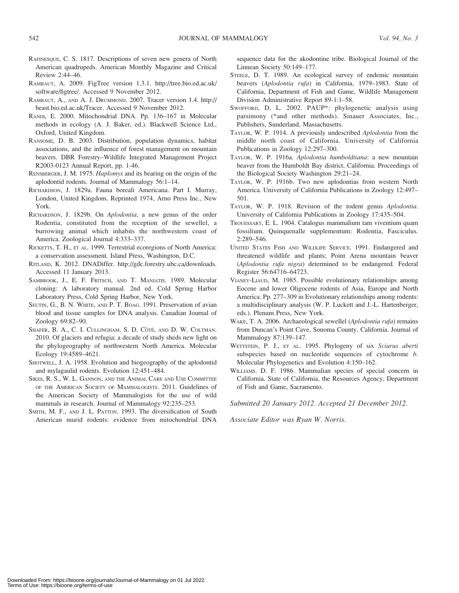- RAFINESQUE, C. S. 1817. Descriptions of seven new genera of North American quadrupeds. American Monthly Magazine and Critical Review 2:44–46.
- RAMBAUT, A. 2009. FigTree version 1.3.1. http://tree.bio.ed.ac.uk/ software/figtree/. Accessed 9 November 2012.
- RAMBAUT, A., AND A. J. DRUMMOND. 2007. Tracer version 1.4. http:// beast.bio.ed.ac.uk/Tracer. Accessed 9 November 2012.
- RANDI, E. 2000. Mitochondrial DNA. Pp. 136–167 in Molecular methods in ecology (A. J. Baker, ed.). Blackwell Science Ltd., Oxford, United Kingdom.
- RANSOME, D. B. 2003. Distribution, population dynamics, habitat associations, and the influence of forest management on mountain beavers. DBR Forestry–Wildlife Integrated Management Project R2003-0123 Annual Report, pp. 1-46.
- RENSBERGER, J. M. 1975. Haplomys and its bearing on the origin of the aplodontid rodents. Journal of Mammalogy 56:1–14.
- RICHARDSON, J. 1829a. Fauna boreali Americana. Part I. Murray, London, United Kingdom. Reprinted 1974, Arno Press Inc., New York.
- RICHARDSON, J. 1829b. On Aplodontia, a new genus of the order Rodentia, constituted from the reception of the sewellel, a burrowing animal which inhabits the northwestern coast of America. Zoological Journal 4:333–337.
- RICKETTS, T. H., ET AL. 1999. Terrestrial ecoregions of North America: a conservation assessment. Island Press, Washington, D.C.
- RITLAND, K. 2012. DNADiffer. http://gdc.forestry.ubc.ca/downloads. Accessed 11 January 2013.
- SAMBROOK, J., E. F. FRITSCH, AND T. MANIATIS. 1989. Molecular cloning: A laboratory manual. 2nd ed. Cold Spring Harbor Laboratory Press, Cold Spring Harbor, New York.
- SEUTIN, G., B. N. WHITE, AND P. T. BOAG. 1991. Preservation of avian blood and tissue samples for DNA analysis. Canadian Journal of Zoology 69:82–90.
- SHAFER, B. A., C. I. CULLINGHAM, S. D. CÔTÉ, AND D. W. COLTMAN. 2010. Of glaciers and refugia: a decade of study sheds new light on the phylogeography of northwestern North America. Molecular Ecology 19:4589–4621.
- SHOTWELL, J. A. 1958. Evolution and biogeography of the aplodontid and mylagaulid rodents. Evolution 12:451–484.
- SIKES, R. S., W. L. GANNON, AND THE ANIMAL CARE AND USE COMMITTEE OF THE AMERICAN SOCIETY OF MAMMALOGISTS. 2011. Guidelines of the American Society of Mammalogists for the use of wild mammals in research. Journal of Mammalogy 92:235–253.
- SMITH, M. F., AND J. L. PATTON. 1993. The diversification of South American murid rodents: evidence from mitochondrial DNA

sequence data for the akodontine tribe. Biological Journal of the Linnean Society 50:149–177.

- STEELE, D. T. 1989. An ecological survey of endemic mountain beavers (Aplodontia rufa) in California, 1979–1983. State of California, Department of Fish and Game, Wildlife Management Division Administrative Report 89-1:1–58.
- SWOFFORD, D. L. 2002. PAUP\*: phylogenetic analysis using parsimony (\*and other methods). Sinauer Associates, Inc., Publishers, Sunderland, Massachusetts.
- TAYLOR, W. P. 1914. A previously undescribed Aplodontia from the middle north coast of California. University of California Publications in Zoology 12:297–300.
- TAYLOR, W. P. 1916a. Aplodontia humboldtiana: a new mountain beaver from the Humboldt Bay district, California. Proceedings of the Biological Society Washington 29:21–24.
- TAYLOR, W. P. 1916b. Two new aplodontias from western North America. University of California Publications in Zoology 12:497– 501.
- TAYLOR, W. P. 1918. Revision of the rodent genus Aplodontia. University of California Publications in Zoology 17:435–504.
- TROUESSART, E. L. 1904. Catalogus mammalium tam viventium quam fossilium. Quinquenalle supplementum: Rodentia, Fasciculus. 2:289–546.
- UNITED STATES FISH AND WILDLIFE SERVICE. 1991. Endangered and threatened wildlife and plants; Point Arena mountain beaver (Aplodontia rufa nigra) determined to be endangered. Federal Register 56:64716–64723.
- VIANEY-LIAUD, M. 1985. Possible evolutionary relationships among Eocene and lower Oligocene rodents of Asia, Europe and North America. Pp. 277–309 in Evolutionary relationships among rodents: a multidisciplinary analysis (W. P. Luckett and J.-L. Hartenberger, eds.). Plenum Press, New York.
- WAKE, T. A. 2006. Archaeological sewellel (Aplodontia rufa) remains from Duncan's Point Cave, Sonoma County, California. Journal of Mammalogy 87:139–147.
- WETTSTEIN, P. J., ET AL. 1995. Phylogeny of six Sciurus aberti subspecies based on nucleotide sequences of cytochrome b. Molecular Phylogenetics and Evolution 4:150–162.
- WILLIAMS. D. F. 1986. Mammalian species of special concern in California. State of California, the Resources Agency, Department of Fish and Game, Sacramento.

Submitted 20 January 2012. Accepted 21 December 2012.

Associate Editor was Ryan W. Norris.